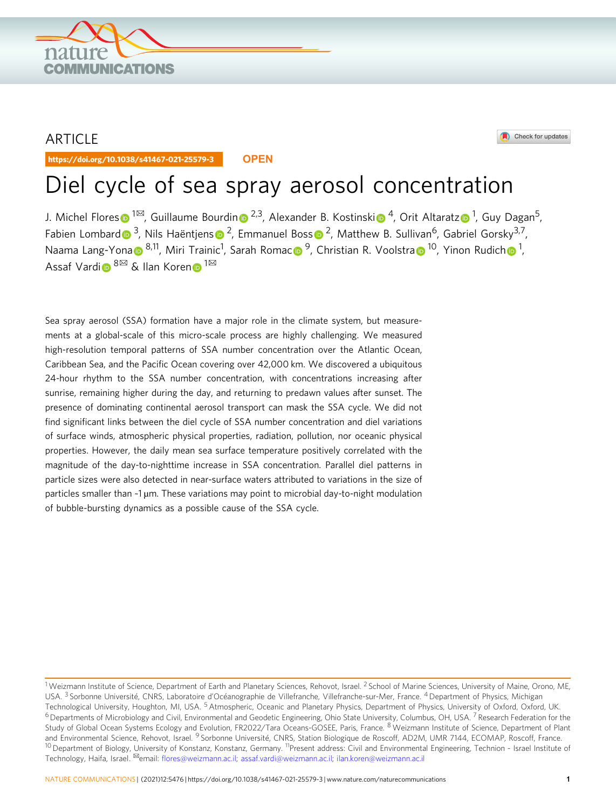

## ARTICLE

https://doi.org/10.1038/s41467-021-25579-3 **OPEN**

#### Check for updates

# Diel cycle of sea spray aerosol concentration

J. Michel Flore[s](http://orcid.org/0000-0003-3609-286X)⋒ <sup>[1](http://orcid.org/0000-0002-7923-9000)⊠</sup>, Guillaume Bourdi[n](http://orcid.org/0000-0001-7608-5256)⋒ <sup>[2](http://orcid.org/0000-0001-7608-5256),3</sup>, Alexander B. Kost[i](http://orcid.org/0000-0003-1033-615X)nski⋒ <sup>4</sup>, Orit Altarat[z](http://orcid.org/0000-0002-7923-9000)⋒ <sup>1</sup>, Guy Dagan<sup>5</sup>, Fabien Lombar[d](http://orcid.org/0000-0002-8626-8782)  $\bullet^3$ , Nil[s](http://orcid.org/0000-0002-8334-9595) Haëntiens  $\bullet^2$ , Emmanuel Boss  $\bullet^2$ , Matthew B. Sullivan<sup>6</sup>, Gabriel Gorsky<sup>3,7</sup>, N[a](http://orcid.org/0000-0003-4555-3795)ama Lang-Yona D <sup>[8](http://orcid.org/0000-0002-2650-2127),11</sup>, Miri Traini[c](http://orcid.org/0000-0003-3785-6972)<sup>[1](http://orcid.org/0000-0003-3149-0201)</sup>, Sara[h](http://orcid.org/0000-0003-3149-0201) Romac D <sup>9</sup>, Christian R. Voolstra D <sup>10</sup>, Yinon Rudich D <sup>1</sup>, Assaf Vard[i](http://orcid.org/0000-0002-7079-0234)o  $8^{\overline{\bowtie}}$  $8^{\overline{\bowtie}}$  $8^{\overline{\bowtie}}$  $8^{\overline{\bowtie}}$  & Ilan Koren <sup>[1](http://orcid.org/0000-0001-6759-6265)⊠</sup>

Sea spray aerosol (SSA) formation have a major role in the climate system, but measurements at a global-scale of this micro-scale process are highly challenging. We measured high-resolution temporal patterns of SSA number concentration over the Atlantic Ocean, Caribbean Sea, and the Pacific Ocean covering over 42,000 km. We discovered a ubiquitous 24-hour rhythm to the SSA number concentration, with concentrations increasing after sunrise, remaining higher during the day, and returning to predawn values after sunset. The presence of dominating continental aerosol transport can mask the SSA cycle. We did not find significant links between the diel cycle of SSA number concentration and diel variations of surface winds, atmospheric physical properties, radiation, pollution, nor oceanic physical properties. However, the daily mean sea surface temperature positively correlated with the magnitude of the day-to-nighttime increase in SSA concentration. Parallel diel patterns in particle sizes were also detected in near-surface waters attributed to variations in the size of particles smaller than ~1 µm. These variations may point to microbial day-to-night modulation of bubble-bursting dynamics as a possible cause of the SSA cycle.

<sup>&</sup>lt;sup>1</sup> Weizmann Institute of Science, Department of Earth and Planetary Sciences, Rehovot, Israel. <sup>2</sup> School of Marine Sciences, University of Maine, Orono, ME, USA. <sup>3</sup> Sorbonne Université, CNRS, Laboratoire d'Océanographie de Villefranche, Villefranche-sur-Mer, France. <sup>4</sup> Department of Physics, Michigan Technological University, Houghton, MI, USA.<sup>5</sup> Atmospheric, Oceanic and Planetary Physics, Department of Physics, University of Oxford, Oxford, UK.  $6$  Departments of Microbiology and Civil, Environmental and Geodetic Engineering, Ohio State University, Columbus, OH, USA.<sup>7</sup> Research Federation for the Study of Global Ocean Systems Ecology and Evolution, FR2022/Tara Oceans-GOSEE, Paris, France. <sup>8</sup> Weizmann Institute of Science, Department of Plant and Environmental Science, Rehovot, Israel. <sup>9</sup> Sorbonne Université, CNRS, Station Biologique de Roscoff, AD2M, UMR 7144, ECOMAP, Roscoff, France. <sup>10</sup> Department of Biology, University of Konstanz, Konstanz, Germany. <sup>11</sup>Present address: Civil and Environmental Engineering, Technion - Israel Institute of Technology, Haifa, Israel. <sup>⊠</sup>email: fl[ores@weizmann.ac.il](mailto:flores@weizmann.ac.il); [assaf.vardi@weizmann.ac.il](mailto:assaf.vardi@weizmann.ac.il); [ilan.koren@weizmann.ac.il](mailto:ilan.koren@weizmann.ac.il)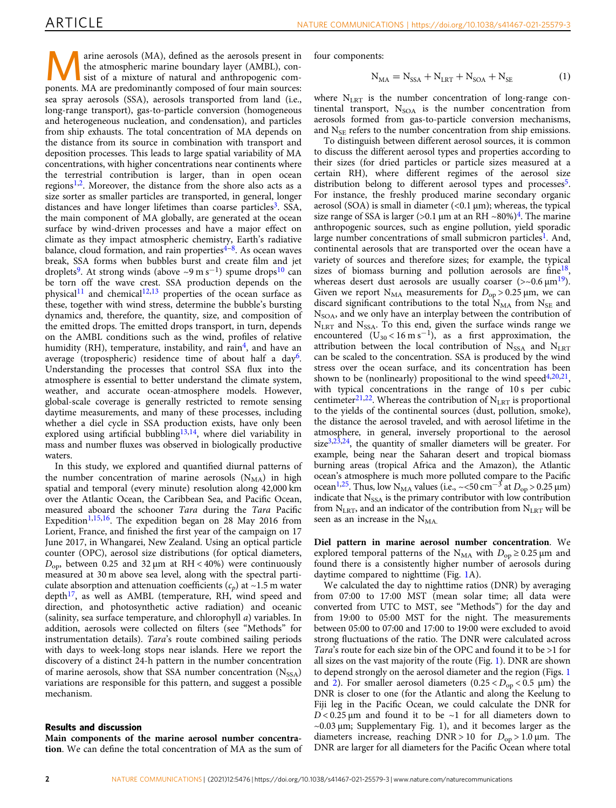The atmospheric marine boundary layer (AMBL), consist of a mixture of natural and anthropogenic com-<br>property MA are predeminently atmospheric flux main and anthropogenic comthe atmospheric marine boundary layer (AMBL), conponents. MA are predominantly composed of four main sources: sea spray aerosols (SSA), aerosols transported from land (i.e., long-range transport), gas-to-particle conversion (homogeneous and heterogeneous nucleation, and condensation), and particles from ship exhausts. The total concentration of MA depends on the distance from its source in combination with transport and deposition processes. This leads to large spatial variability of MA concentrations, with higher concentrations near continents where the terrestrial contribution is larger, than in open ocean regions<sup>[1](#page-9-0),2</sup>. Moreover, the distance from the shore also acts as a size sorter as smaller particles are transported, in general, longer distances and have longer lifetimes than coarse particles<sup>[3](#page-10-0)</sup>. SSA, the main component of MA globally, are generated at the ocean surface by wind-driven processes and have a major effect on climate as they impact atmospheric chemistry, Earth's radiative balance, cloud formation, and rain properties $4-8$  $4-8$ . As ocean waves break, SSA forms when bubbles burst and create film and jet droplets<sup>9</sup>. At strong winds (above ~9 m s<sup>-1</sup>) spume drops<sup>[10](#page-10-0)</sup> can be torn off the wave crest. SSA production depends on the physical<sup>11</sup> and chemical<sup>[12,13](#page-10-0)</sup> properties of the ocean surface as these, together with wind stress, determine the bubble's bursting dynamics and, therefore, the quantity, size, and composition of the emitted drops. The emitted drops transport, in turn, depends on the AMBL conditions such as the wind, profiles of relative humidity (RH), temperature, instability, and rain<sup>[4](#page-10-0)</sup>, and have an average (tropospheric) residence time of about half a  $day^6$ . Understanding the processes that control SSA flux into the atmosphere is essential to better understand the climate system, weather, and accurate ocean-atmosphere models. However, global-scale coverage is generally restricted to remote sensing daytime measurements, and many of these processes, including whether a diel cycle in SSA production exists, have only been explored using artificial bubbling<sup>[13](#page-10-0),[14](#page-10-0)</sup>, where diel variability in mass and number fluxes was observed in biologically productive waters.

In this study, we explored and quantified diurnal patterns of the number concentration of marine aerosols  $(N_{MA})$  in high spatial and temporal (every minute) resolution along 42,000 km over the Atlantic Ocean, the Caribbean Sea, and Pacific Ocean, measured aboard the schooner Tara during the Tara Pacific Expedition<sup>[1](#page-9-0)[,15](#page-10-0),[16](#page-10-0)</sup>. The expedition began on 28 May 2016 from Lorient, France, and finished the first year of the campaign on 17 June 2017, in Whangarei, New Zealand. Using an optical particle counter (OPC), aerosol size distributions (for optical diameters,  $D_{\rm op}$ , between 0.25 and 32  $\mu$ m at RH < 40%) were continuously measured at 30 m above sea level, along with the spectral particulate absorption and attenuation coefficients  $(c_p)$  at ~1.5 m water  $depth<sup>17</sup>$ , as well as AMBL (temperature, RH, wind speed and direction, and photosynthetic active radiation) and oceanic (salinity, sea surface temperature, and chlorophyll a) variables. In addition, aerosols were collected on filters (see "Methods" for instrumentation details). Tara's route combined sailing periods with days to week-long stops near islands. Here we report the discovery of a distinct 24-h pattern in the number concentration of marine aerosols, show that SSA number concentration  $(N_{SSA})$ variations are responsible for this pattern, and suggest a possible mechanism.

#### Results and discussion

Main components of the marine aerosol number concentration. We can define the total concentration of MA as the sum of four components:

$$
N_{MA} = N_{SSA} + N_{LRT} + N_{SOA} + N_{SE}
$$
 (1)

where  $N<sub>LRT</sub>$  is the number concentration of long-range continental transport,  $N_{\text{SOA}}$  is the number concentration from aerosols formed from gas-to-particle conversion mechanisms, and  $N_{\rm SE}$  refers to the number concentration from ship emissions.

To distinguish between different aerosol sources, it is common to discuss the different aerosol types and properties according to their sizes (for dried particles or particle sizes measured at a certain RH), where different regimes of the aerosol size distribution belong to different aerosol types and processes<sup>5</sup>. For instance, the freshly produced marine secondary organic aerosol (SOA) is small in diameter  $\left($ <0.1  $\mu$ m); whereas, the typical size range of SSA is larger (>0.1  $\mu$ m at an RH ~80%)<sup>[4](#page-10-0)</sup>. The marine anthropogenic sources, such as engine pollution, yield sporadic large number concentrations of small submicron particles<sup>[1](#page-9-0)</sup>. And, continental aerosols that are transported over the ocean have a variety of sources and therefore sizes; for example, the typical sizes of biomass burning and pollution aerosols are fine<sup>18</sup>, whereas desert dust aerosols are usually coarser  $(>0.6 \mu m^{19})$  $(>0.6 \mu m^{19})$  $(>0.6 \mu m^{19})$ . Given we report  $N_{MA}$  measurements for  $D_{op} > 0.25 \,\mu$ m, we can discard significant contributions to the total  $N_{MA}$  from  $N_{SE}$  and  $N<sub>SOA</sub>$ , and we only have an interplay between the contribution of  $N<sub>LRT</sub>$  and  $N<sub>SSA</sub>$ . To this end, given the surface winds range we encountered  $(U_{30} < 16 \text{ m s}^{-1})$ , as a first approximation, the attribution between the local contribution of  $N_{SSA}$  and  $N_{LRT}$ can be scaled to the concentration. SSA is produced by the wind stress over the ocean surface, and its concentration has been shown to be (nonlinearly) propositional to the wind speed $4,20,21$ , with typical concentrations in the range of 10 s per cubic centimeter<sup>[21](#page-10-0),[22](#page-10-0)</sup>. Whereas the contribution of  $N<sub>LRT</sub>$  is proportional to the yields of the continental sources (dust, pollution, smoke), the distance the aerosol traveled, and with aerosol lifetime in the atmosphere, in general, inversely proportional to the aerosol  $size<sup>3,23,24</sup>$  $size<sup>3,23,24</sup>$  $size<sup>3,23,24</sup>$ , the quantity of smaller diameters will be greater. For example, being near the Saharan desert and tropical biomass burning areas (tropical Africa and the Amazon), the Atlantic ocean's atmosphere is much more polluted compare to the Pacific ocean<sup>1,[25](#page-10-0)</sup>. Thus, low N<sub>MA</sub> values (i.e., ~<50 cm<sup>-3</sup> at  $D_{op} > 0.25 \,\mu\text{m}$ ) indicate that  $N_{SSA}$  is the primary contributor with low contribution from  $N<sub>LRT</sub>$ , and an indicator of the contribution from  $N<sub>LRT</sub>$  will be seen as an increase in the  $N_{MA}$ .

Diel pattern in marine aerosol number concentration. We explored temporal patterns of the N<sub>MA</sub> with  $D_{op} \ge 0.25 \,\mu$ m and found there is a consistently higher number of aerosols during daytime compared to nighttime (Fig. [1](#page-2-0)A).

We calculated the day to nighttime ratios (DNR) by averaging from 07:00 to 17:00 MST (mean solar time; all data were converted from UTC to MST, see "Methods") for the day and from 19:00 to 05:00 MST for the night. The measurements between 05:00 to 07:00 and 17:00 to 19:00 were excluded to avoid strong fluctuations of the ratio. The DNR were calculated across Tara's route for each size bin of the OPC and found it to be >1 for all sizes on the vast majority of the route (Fig. [1](#page-2-0)). DNR are shown to depend strongly on the aerosol diameter and the region (Figs. [1](#page-2-0) and [2](#page-3-0)). For smaller aerosol diameters  $(0.25 < D_{op} < 0.5$  µm) the DNR is closer to one (for the Atlantic and along the Keelung to Fiji leg in the Pacific Ocean, we could calculate the DNR for  $D < 0.25$  µm and found it to be ~1 for all diameters down to ~0.03 μm; Supplementary Fig. 1), and it becomes larger as the diameters increase, reaching  $DNR > 10$  for  $D_{op} > 1.0 \mu m$ . The DNR are larger for all diameters for the Pacific Ocean where total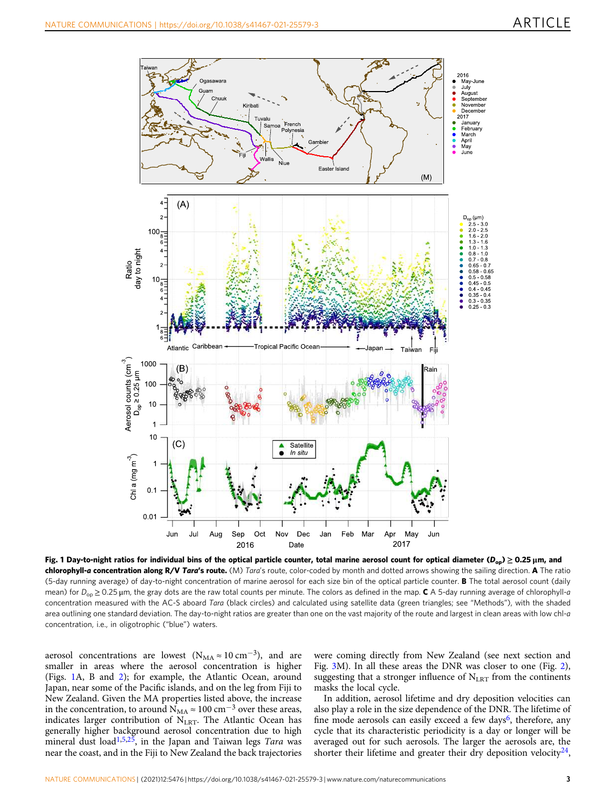<span id="page-2-0"></span>

Fig. 1 Day-to-night ratios for individual bins of the optical particle counter, total marine aerosol count for optical diameter (D<sub>op</sub>)  $\geq 0.25$  μm, and chlorophyll-a concentration along R/V Tara's route. (M) Tara's route, color-coded by month and dotted arrows showing the sailing direction. A The ratio (5-day running average) of day-to-night concentration of marine aerosol for each size bin of the optical particle counter. **B** The total aerosol count (daily mean) for  $D_{\text{on}} \ge 0.25$  µm, the gray dots are the raw total counts per minute. The colors as defined in the map. C A 5-day running average of chlorophyll-a concentration measured with the AC-S aboard Tara (black circles) and calculated using satellite data (green triangles; see "Methods"), with the shaded area outlining one standard deviation. The day-to-night ratios are greater than one on the vast majority of the route and largest in clean areas with low chl-a concentration, i.e., in oligotrophic ("blue") waters.

aerosol concentrations are lowest ( $N_{MA} \approx 10 \text{ cm}^{-3}$ ), and are smaller in areas where the aerosol concentration is higher (Figs. 1A, B and [2](#page-3-0)); for example, the Atlantic Ocean, around Japan, near some of the Pacific islands, and on the leg from Fiji to New Zealand. Given the MA properties listed above, the increase in the concentration, to around  $\overline{N}_{MA}$  ≈ 100 cm<sup>-3</sup> over these areas, indicates larger contribution of  $N<sub>LRT</sub>$ . The Atlantic Ocean has generally higher background aerosol concentration due to high mineral dust load<sup>[1](#page-9-0),[5,25](#page-10-0)</sup>, in the Japan and Taiwan legs Tara was near the coast, and in the Fiji to New Zealand the back trajectories

were coming directly from New Zealand (see next section and Fig. [3](#page-4-0)M). In all these areas the DNR was closer to one (Fig. [2](#page-3-0)), suggesting that a stronger influence of  $N<sub>LRT</sub>$  from the continents masks the local cycle.

In addition, aerosol lifetime and dry deposition velocities can also play a role in the size dependence of the DNR. The lifetime of fine mode aerosols can easily exceed a few days<sup>[6](#page-10-0)</sup>, therefore, any cycle that its characteristic periodicity is a day or longer will be averaged out for such aerosols. The larger the aerosols are, the shorter their lifetime and greater their dry deposition velocity  $4,$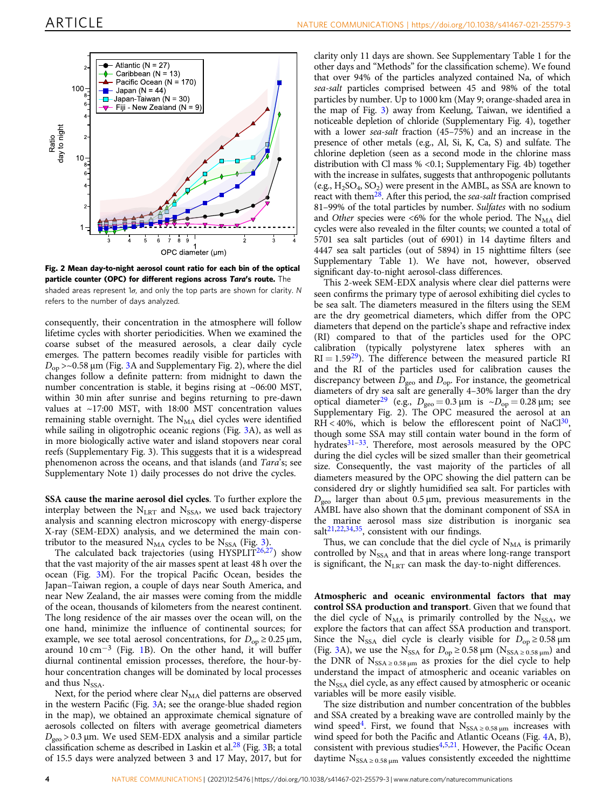<span id="page-3-0"></span>



consequently, their concentration in the atmosphere will follow lifetime cycles with shorter periodicities. When we examined the coarse subset of the measured aerosols, a clear daily cycle emerges. The pattern becomes readily visible for particles with  $D_{op}$  >~0.58 µm (Fig. [3](#page-4-0)A and Supplementary Fig. 2), where the diel changes follow a definite pattern: from midnight to dawn the number concentration is stable, it begins rising at ~06:00 MST, within 30 min after sunrise and begins returning to pre-dawn values at ~17:00 MST, with 18:00 MST concentration values remaining stable overnight. The  $N_{MA}$  diel cycles were identified while sailing in oligotrophic oceanic regions (Fig. [3](#page-4-0)A), as well as in more biologically active water and island stopovers near coral reefs (Supplementary Fig. 3). This suggests that it is a widespread phenomenon across the oceans, and that islands (and Tara's; see Supplementary Note 1) daily processes do not drive the cycles.

SSA cause the marine aerosol diel cycles. To further explore the interplay between the  $N<sub>LRT</sub>$  and  $N<sub>SSA</sub>$ , we used back trajectory analysis and scanning electron microscopy with energy-disperse X-ray (SEM-EDX) analysis, and we determined the main contributor to the measured  $N_{MA}$  cycles to be  $N_{SSA}$  (Fig. [3\)](#page-4-0).

The calculated back trajectories (using HYSPLIT<sup>[26](#page-10-0),[27](#page-10-0)</sup>) show that the vast majority of the air masses spent at least 48 h over the ocean (Fig. [3M](#page-4-0)). For the tropical Pacific Ocean, besides the Japan–Taiwan region, a couple of days near South America, and near New Zealand, the air masses were coming from the middle of the ocean, thousands of kilometers from the nearest continent. The long residence of the air masses over the ocean will, on the one hand, minimize the influence of continental sources; for example, we see total aerosol concentrations, for  $D_{op} \ge 0.25 \,\mu\text{m}$ , around  $10 \text{ cm}^{-3}$  $10 \text{ cm}^{-3}$  (Fig. 1B). On the other hand, it will buffer diurnal continental emission processes, therefore, the hour-byhour concentration changes will be dominated by local processes and thus  $N_{SSA}$ .

Next, for the period where clear  $N_{MA}$  diel patterns are observed in the western Pacific (Fig. [3A](#page-4-0); see the orange-blue shaded region in the map), we obtained an approximate chemical signature of aerosols collected on filters with average geometrical diameters  $D_{\text{geo}}$  > 0.3 µm. We used SEM-EDX analysis and a similar particle classification scheme as described in Laskin et al[.28](#page-10-0) (Fig. [3](#page-4-0)B; a total of 15.5 days were analyzed between 3 and 17 May, 2017, but for

clarity only 11 days are shown. See Supplementary Table 1 for the other days and "Methods" for the classification scheme). We found that over 94% of the particles analyzed contained Na, of which sea-salt particles comprised between 45 and 98% of the total particles by number. Up to 1000 km (May 9; orange-shaded area in the map of Fig. [3\)](#page-4-0) away from Keelung, Taiwan, we identified a noticeable depletion of chloride (Supplementary Fig. 4), together with a lower sea-salt fraction (45–75%) and an increase in the presence of other metals (e.g., Al, Si, K, Ca, S) and sulfate. The chlorine depletion (seen as a second mode in the chlorine mass distribution with Cl mass % <0.1; Supplementary Fig. 4b) together with the increase in sulfates, suggests that anthropogenic pollutants (e.g.,  $H_2SO_4, SO_2$ ) were present in the AMBL, as SSA are known to react with them<sup>28</sup>. After this period, the *sea-salt* fraction comprised 81–99% of the total particles by number. Sulfates with no sodium and Other species were <6% for the whole period. The  $N_{MA}$  diel cycles were also revealed in the filter counts; we counted a total of 5701 sea salt particles (out of 6901) in 14 daytime filters and 4447 sea salt particles (out of 5894) in 15 nighttime filters (see Supplementary Table 1). We have not, however, observed significant day-to-night aerosol-class differences.

This 2-week SEM-EDX analysis where clear diel patterns were seen confirms the primary type of aerosol exhibiting diel cycles to be sea salt. The diameters measured in the filters using the SEM are the dry geometrical diameters, which differ from the OPC diameters that depend on the particle's shape and refractive index (RI) compared to that of the particles used for the OPC calibration (typically polystyrene latex spheres with an  $RI = 1.59<sup>29</sup>$ ). The difference between the measured particle RI and the RI of the particles used for calibration causes the discrepancy between  $D_{\text{geo}}$  and  $D_{\text{op}}$ . For instance, the geometrical diameters of dry sea salt are generally 4–30% larger than the dry optical diameter<sup>[29](#page-10-0)</sup> (e.g.,  $D_{\text{geo}} = 0.3 \,\mu\text{m}$  is  $\sim D_{\text{op}} = 0.28 \,\mu\text{m}$ ; see Supplementary Fig. 2). The OPC measured the aerosol at an RH < 40%, which is below the efflorescent point of NaCl<sup>30</sup>, though some SSA may still contain water bound in the form of hydrates<sup>[31](#page-10-0)-[33](#page-10-0)</sup>. Therefore, most aerosols measured by the OPC during the diel cycles will be sized smaller than their geometrical size. Consequently, the vast majority of the particles of all diameters measured by the OPC showing the diel pattern can be considered dry or slightly humidified sea salt. For particles with  $D_{\text{geo}}$  larger than about 0.5 µm, previous measurements in the AMBL have also shown that the dominant component of SSA in the marine aerosol mass size distribution is inorganic sea salt $2^{1,22,34,35}$ , consistent with our findings.

Thus, we can conclude that the diel cycle of  $N_{MA}$  is primarily controlled by  $N_{SSA}$  and that in areas where long-range transport is significant, the  $N<sub>LRT</sub>$  can mask the day-to-night differences.

Atmospheric and oceanic environmental factors that may control SSA production and transport. Given that we found that the diel cycle of  $N_{MA}$  is primarily controlled by the  $N_{SSA}$ , we explore the factors that can affect SSA production and transport. Since the N<sub>SSA</sub> diel cycle is clearly visible for  $D_{op} \ge 0.58 \,\mu m$ (Fig. [3](#page-4-0)A), we use the N<sub>SSA</sub> for  $D_{op} \ge 0.58 \,\mu\text{m}$  (N<sub>SSA ≥ 0.58  $\mu$ m) and</sub> the DNR of  $N_{SSA \geq 0.58 \mu m}$  as proxies for the diel cycle to help understand the impact of atmospheric and oceanic variables on the N<sub>SSA</sub> diel cycle, as any effect caused by atmospheric or oceanic variables will be more easily visible.

The size distribution and number concentration of the bubbles and SSA created by a breaking wave are controlled mainly by the wind speed<sup>4</sup>. First, we found that  $N_{SSA \geq 0.58 \mu m}$  increases with wind speed for both the Pacific and Atlantic Oceans (Fig. [4A](#page-5-0), B), consistent with previous studies<sup>[4](#page-10-0),[5,21](#page-10-0)</sup>. However, the Pacific Ocean daytime  $N_{SSA \geq 0.58 \mu m}$  values consistently exceeded the nighttime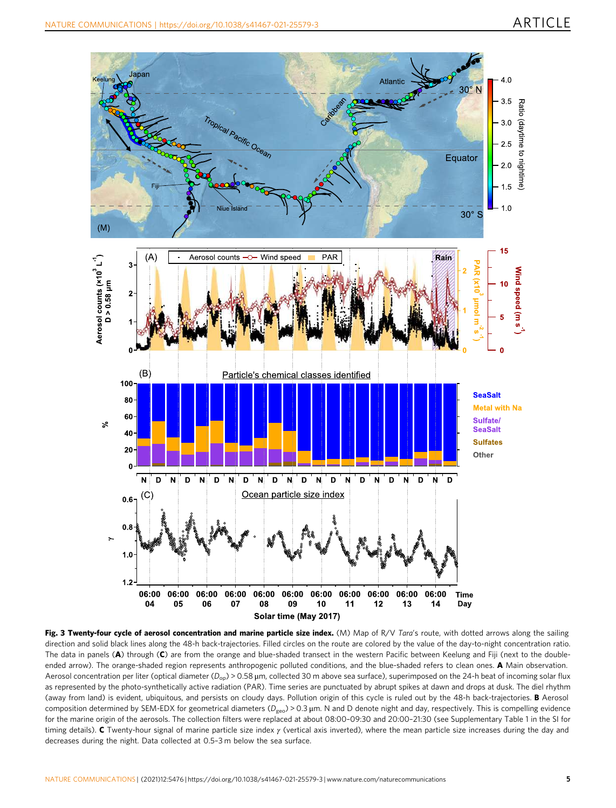<span id="page-4-0"></span>

Fig. 3 Twenty-four cycle of aerosol concentration and marine particle size index. (M) Map of R/V Tara's route, with dotted arrows along the sailing direction and solid black lines along the 48-h back-trajectories. Filled circles on the route are colored by the value of the day-to-night concentration ratio. The data in panels (A) through (C) are from the orange and blue-shaded transect in the western Pacific between Keelung and Fiji (next to the doubleended arrow). The orange-shaded region represents anthropogenic polluted conditions, and the blue-shaded refers to clean ones. A Main observation. Aerosol concentration per liter (optical diameter ( $D_{op}$ ) > 0.58 µm, collected 30 m above sea surface), superimposed on the 24-h beat of incoming solar flux as represented by the photo-synthetically active radiation (PAR). Time series are punctuated by abrupt spikes at dawn and drops at dusk. The diel rhythm (away from land) is evident, ubiquitous, and persists on cloudy days. Pollution origin of this cycle is ruled out by the 48-h back-trajectories. B Aerosol composition determined by SEM-EDX for geometrical diameters ( $D_{geo}$ ) > 0.3 µm. N and D denote night and day, respectively. This is compelling evidence for the marine origin of the aerosols. The collection filters were replaced at about 08:00–09:30 and 20:00–21:30 (see Supplementary Table 1 in the SI for timing details). C Twenty-hour signal of marine particle size index  $\gamma$  (vertical axis inverted), where the mean particle size increases during the day and decreases during the night. Data collected at 0.5–3 m below the sea surface.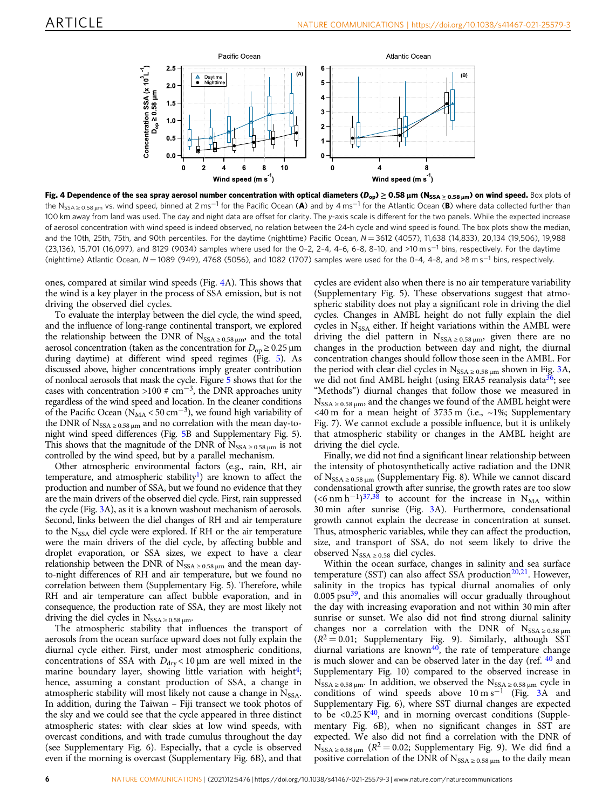<span id="page-5-0"></span>

Fig. 4 Dependence of the sea spray aerosol number concentration with optical diameters ( $D_{op}$ )  $\geq 0.58$  µm (N<sub>SSA ≥ 0.58 µm</sub>) on wind speed. Box plots of the N<sub>SSA > 0.58 um</sub> vs. wind speed, binned at 2 ms<sup>-1</sup> for the Pacific Ocean (A) and by 4 ms<sup>-1</sup> for the Atlantic Ocean (B) where data collected further than 100 km away from land was used. The day and night data are offset for clarity. The y-axis scale is different for the two panels. While the expected increase of aerosol concentration with wind speed is indeed observed, no relation between the 24-h cycle and wind speed is found. The box plots show the median, and the 10th, 25th, 75th, and 90th percentiles. For the daytime (nighttime) Pacific Ocean, N = 3612 (4057), 11,638 (14,833), 20,134 (19,506), 19,988 (23,136), 15,701 (16,097), and 8129 (9034) samples where used for the 0–2, 2–4, 4–6, 6–8, 8–10, and >10 m s−<sup>1</sup> bins, respectively. For the daytime (nighttime) Atlantic Ocean, N = 1089 (949), 4768 (5056), and 1082 (1707) samples were used for the 0-4, 4-8, and >8 m s<sup>-1</sup> bins, respectively.

ones, compared at similar wind speeds (Fig. 4A). This shows that the wind is a key player in the process of SSA emission, but is not driving the observed diel cycles.

To evaluate the interplay between the diel cycle, the wind speed, and the influence of long-range continental transport, we explored the relationship between the DNR of  $N_{SSA \geq 0.58 \mu m}$ , and the total aerosol concentration (taken as the concentration for  $D_{op} \ge 0.25 \,\mu\text{m}$ during daytime) at different wind speed regimes (Fig. [5](#page-6-0)). As discussed above, higher concentrations imply greater contribution of nonlocal aerosols that mask the cycle. Figure [5](#page-6-0) shows that for the cases with concentration >100 #  $cm^{-3}$ , the DNR approaches unity regardless of the wind speed and location. In the cleaner conditions of the Pacific Ocean ( $N_{MA}$  < 50 cm<sup>-3</sup>), we found high variability of the DNR of  $N_{SSA \geq 0.58 \mu m}$  and no correlation with the mean day-tonight wind speed differences (Fig. [5B](#page-6-0) and Supplementary Fig. 5). This shows that the magnitude of the DNR of  $N_{SSA \geq 0.58 \mu m}$  is not controlled by the wind speed, but by a parallel mechanism.

Other atmospheric environmental factors (e.g., rain, RH, air temperature, and atmospheric stability<sup>[1](#page-9-0)</sup>) are known to affect the production and number of SSA, but we found no evidence that they are the main drivers of the observed diel cycle. First, rain suppressed the cycle (Fig. [3A](#page-4-0)), as it is a known washout mechanism of aerosols. Second, links between the diel changes of RH and air temperature to the N<sub>SSA</sub> diel cycle were explored. If RH or the air temperature were the main drivers of the diel cycle, by affecting bubble and droplet evaporation, or SSA sizes, we expect to have a clear relationship between the DNR of  $N_{SSA \geq 0.58 \mu m}$  and the mean dayto-night differences of RH and air temperature, but we found no correlation between them (Supplementary Fig. 5). Therefore, while RH and air temperature can affect bubble evaporation, and in consequence, the production rate of SSA, they are most likely not driving the diel cycles in  $N_{SSA \geq 0.58 \mu m}$ .

The atmospheric stability that influences the transport of aerosols from the ocean surface upward does not fully explain the diurnal cycle either. First, under most atmospheric conditions, concentrations of SSA with  $D_{\text{dry}}$  < 10 µm are well mixed in the marine boundary layer, showing little variation with height<sup>4</sup>; hence, assuming a constant production of SSA, a change in atmospheric stability will most likely not cause a change in  $N_{SSA}$ . In addition, during the Taiwan – Fiji transect we took photos of the sky and we could see that the cycle appeared in three distinct atmospheric states: with clear skies at low wind speeds, with overcast conditions, and with trade cumulus throughout the day (see Supplementary Fig. 6). Especially, that a cycle is observed even if the morning is overcast (Supplementary Fig. 6B), and that

cycles are evident also when there is no air temperature variability (Supplementary Fig. 5). These observations suggest that atmospheric stability does not play a significant role in driving the diel cycles. Changes in AMBL height do not fully explain the diel cycles in N<sub>SSA</sub> either. If height variations within the AMBL were driving the diel pattern in  $N_{SSA \geq 0.58 \mu m}$ , given there are no changes in the production between day and night, the diurnal concentration changes should follow those seen in the AMBL. For the period with clear diel cycles in  $N_{SSA \geq 0.58 \mu m}$  shown in Fig. [3](#page-4-0)A, we did not find AMBL height (using ERA5 reanalysis data $36$ ; see "Methods") diurnal changes that follow those we measured in  $N_{SSA \geq 0.58 \mu m}$ , and the changes we found of the AMBL height were <40 m for a mean height of 3735 m (i.e., ~1%; Supplementary Fig. 7). We cannot exclude a possible influence, but it is unlikely that atmospheric stability or changes in the AMBL height are driving the diel cycle.

Finally, we did not find a significant linear relationship between the intensity of photosynthetically active radiation and the DNR of  $N_{SSA \geq 0.58 \mu m}$  (Supplementary Fig. 8). While we cannot discard condensational growth after sunrise, the growth rates are too slow (<6 nm h<sup>-1</sup>)<sup>[37](#page-10-0),[38](#page-10-0)</sup> to account for the increase in N<sub>MA</sub> within 30 min after sunrise (Fig. [3](#page-4-0)A). Furthermore, condensational growth cannot explain the decrease in concentration at sunset. Thus, atmospheric variables, while they can affect the production, size, and transport of SSA, do not seem likely to drive the observed  $N_{SSA \geq 0.58}$  diel cycles.

Within the ocean surface, changes in salinity and sea surface temperature (SST) can also affect SSA production<sup>20,21</sup>. However, salinity in the tropics has typical diurnal anomalies of only  $0.005$  psu $39$ , and this anomalies will occur gradually throughout the day with increasing evaporation and not within 30 min after sunrise or sunset. We also did not find strong diurnal salinity changes nor a correlation with the DNR of  $N_{SSA \ge 0.58 \mu m}$  $(R^2 = 0.01;$  Supplementary Fig. 9). Similarly, although SST diurnal variations are known $40$ , the rate of temperature change is much slower and can be observed later in the day (ref.  $40$  and Supplementary Fig. 10) compared to the observed increase in  $N_{SSA \geq 0.58 \mu m}$ . In addition, we observed the  $N_{SSA \geq 0.58 \mu m}$  cycle in conditions of wind speeds above  $10 \text{ m s}^{-1}$  (Fig. [3A](#page-4-0) and Supplementary Fig. 6), where SST diurnal changes are expected to be  $\langle 0.25 \text{ K}^{40} \rangle$  $\langle 0.25 \text{ K}^{40} \rangle$  $\langle 0.25 \text{ K}^{40} \rangle$ , and in morning overcast conditions (Supplementary Fig. 6B), when no significant changes in SST are expected. We also did not find a correlation with the DNR of  $N_{SSA \geq 0.58 \mu m}$  ( $R^2 = 0.02$ ; Supplementary Fig. 9). We did find a positive correlation of the DNR of  $N_{SSA \geq 0.58 \mu m}$  to the daily mean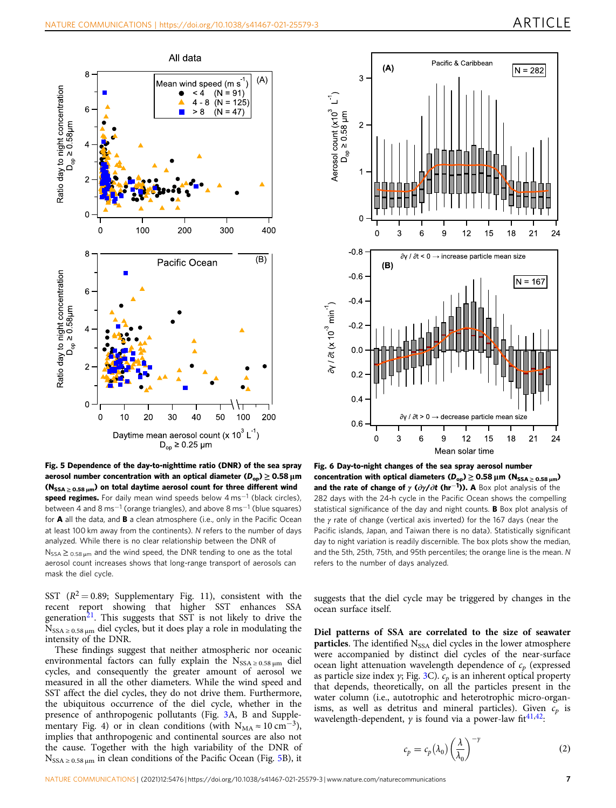ln = 282

 $21$ 

 $18$ 

 $24$ 

<span id="page-6-0"></span>

 $-0.8$  $\partial y / \partial t$  < 0  $\rightarrow$  increase particle mean size  $(B)$  $-0.6$  $N = 167$  $-0.4$  $3\gamma / \partial t$  (x 10<sup>-3</sup> min<sup>-1</sup>)  $-0.2$  $0<sup>o</sup>$  $0.2$  $0.4$  $\partial y / \partial t > 0$   $\rightarrow$  decrease particle mean siz  $0.6$ 0 3 6 ç  $12$ 15 18  $21$ 24 Mean solar time Fig. 6 Day-to-night changes of the sea spray aerosol number concentration with optical diameters  $(D_{op}) \ge 0.58 \,\mu\text{m}$  (N<sub>SSA > 0.58 um</sub>) and the rate of change of  $\gamma$  ( $\partial \gamma / \partial t$  (hr<sup>-1</sup>)). A Box plot analysis of the 282 days with the 24-h cycle in the Pacific Ocean shows the compelling statistical significance of the day and night counts. **B** Box plot analysis of the γ rate of change (vertical axis inverted) for the 167 days (near the Pacific islands, Japan, and Taiwan there is no data). Statistically significant

g

12

15

Pacific & Caribbean

 $(A)$ 

3

 $\overline{2}$ 

 $\Omega$ 

Ċ

3

Aerosol count  $(x10^3 L^{-1})$ <br>D<sub>op</sub> ≥ 0.58 µm

Fig. 5 Dependence of the day-to-nighttime ratio (DNR) of the sea spray aerosol number concentration with an optical diameter ( $D_{op}$ )  $\geq 0.58 \mu m$ ( $N_{SSA > 0.58 \mu m}$ ) on total daytime aerosol count for three different wind speed regimes. For daily mean wind speeds below 4 ms<sup>-1</sup> (black circles), between 4 and 8 ms<sup>-1</sup> (orange triangles), and above 8 ms<sup>-1</sup> (blue squares) for **A** all the data, and **B** a clean atmosphere (i.e., only in the Pacific Ocean at least 100 km away from the continents). N refers to the number of days analyzed. While there is no clear relationship between the DNR of  $N_{SSA} \geq_{0.58 \text{ µm}}$  and the wind speed, the DNR tending to one as the total aerosol count increases shows that long-range transport of aerosols can mask the diel cycle.

SST  $(R^2 = 0.89;$  Supplementary Fig. 11), consistent with the recent report showing that higher SST enhances SSA generation $2<sup>1</sup>$ . This suggests that SST is not likely to drive the  $N_{SSA \geq 0.58 \mu m}$  diel cycles, but it does play a role in modulating the intensity of the DNR.

These findings suggest that neither atmospheric nor oceanic environmental factors can fully explain the  $N_{SSA \geq 0.58 \mu m}$  diel cycles, and consequently the greater amount of aerosol we measured in all the other diameters. While the wind speed and SST affect the diel cycles, they do not drive them. Furthermore, the ubiquitous occurrence of the diel cycle, whether in the presence of anthropogenic pollutants (Fig. [3A](#page-4-0), B and Supplementary Fig. 4) or in clean conditions (with  $N_{MA} \approx 10 \text{ cm}^{-3}$ ), implies that anthropogenic and continental sources are also not the cause. Together with the high variability of the DNR of  $N_{SSA \geq 0.58 \mu m}$  in clean conditions of the Pacific Ocean (Fig. 5B), it

suggests that the diel cycle may be triggered by changes in the ocean surface itself.

day to night variation is readily discernible. The box plots show the median, and the 5th, 25th, 75th, and 95th percentiles; the orange line is the mean. N

refers to the number of days analyzed.

Diel patterns of SSA are correlated to the size of seawater **particles**. The identified  $N_{SSA}$  diel cycles in the lower atmosphere were accompanied by distinct diel cycles of the near-surface ocean light attenuation wavelength dependence of  $c_p$  (expressed as particle size index  $\gamma$ ; Fig. [3](#page-4-0)C).  $c_p$  is an inherent optical property that depends, theoretically, on all the particles present in the water column (i.e., autotrophic and heterotrophic micro-organisms, as well as detritus and mineral particles). Given  $c_p$  is wavelength-dependent,  $\gamma$  is found via a power-law fit<sup>[41](#page-10-0),42</sup>:

$$
c_p = c_p(\lambda_0) \left(\frac{\lambda}{\lambda_0}\right)^{-\gamma} \tag{2}
$$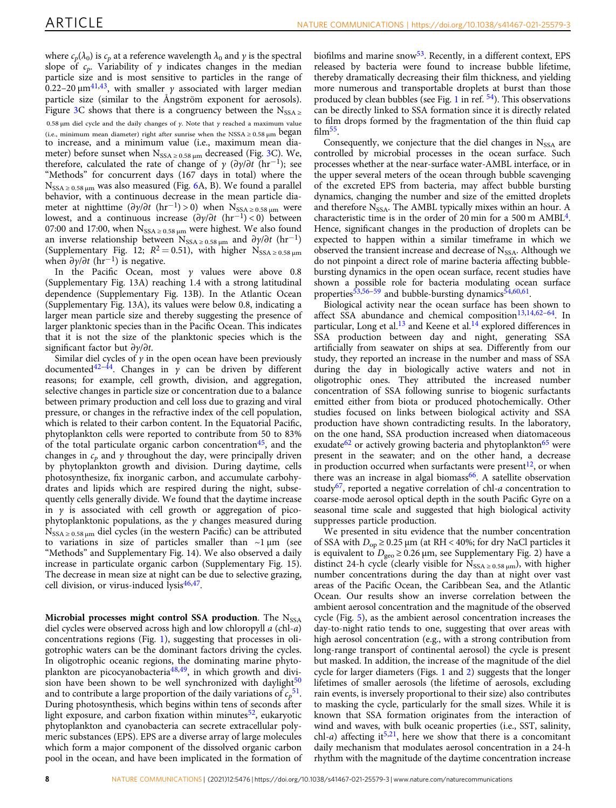where  $c_p(\lambda_0)$  is  $c_p$  at a reference wavelength  $\lambda_0$  and  $\gamma$  is the spectral slope of  $c_p$ . Variability of  $\gamma$  indicates changes in the median particle size and is most sensitive to particles in the range of 0.22–20  $\mu$ m<sup>41,43</sup>, with smaller  $\gamma$  associated with larger median particle size (similar to the Ångström exponent for aerosols). Figure [3C](#page-4-0) shows that there is a congruency between the  $N_{SSA}$ 0.58 μm diel cycle and the daily changes of  $γ$ . Note that  $γ$  reached a maximum value (i.e., minimum mean diameter) right after sunrise when the NSSA  $\geq 0.58 \mu m$  began to increase, and a minimum value (i.e., maximum mean diameter) before sunset when  $N_{SSA \geq 0.58 \mu m}$  decreased (Fig. [3](#page-4-0)C). We, therefore, calculated the rate of change of  $\gamma$  ( $\partial \gamma / \partial t$  (hr<sup>-1</sup>); see "Methods" for concurrent days (167 days in total) where the  $N_{SSA \geq 0.58 \mu m}$  was also measured (Fig. [6A](#page-6-0), B). We found a parallel behavior, with a continuous decrease in the mean particle diameter at nighttime  $(\partial \gamma/\partial t \, (\text{hr}^{-1}) > 0)$  when  $N_{SSA \geq 0.58 \mu m}$  were lowest, and a continuous increase  $(\partial \gamma/\partial t \space (hr^{-1})$  < 0) between 07:00 and 17:00, when  $N_{SSA \geq 0.58 \mu m}$  were highest. We also found an inverse relationship between N<sub>SSA ≥ 0.58</sub>  $\mu$ m and  $\partial \gamma / \partial t$  (hr<sup>-1</sup>) (Supplementary Fig. 12;  $R^2 = 0.51$ ), with higher N<sub>SSA ≥ 0.58 µm</sub> when  $\partial y/\partial t$  (hr<sup>-1</sup>) is negative.

In the Pacific Ocean, most  $\gamma$  values were above 0.8 (Supplementary Fig. 13A) reaching 1.4 with a strong latitudinal dependence (Supplementary Fig. 13B). In the Atlantic Ocean (Supplementary Fig. 13A), its values were below 0.8, indicating a larger mean particle size and thereby suggesting the presence of larger planktonic species than in the Pacific Ocean. This indicates that it is not the size of the planktonic species which is the significant factor but ∂γ/∂t.

Similar diel cycles of  $\gamma$  in the open ocean have been previously documented<sup>[42](#page-10-0)–[44](#page-10-0)</sup>. Changes in  $\bar{y}$  can be driven by different reasons; for example, cell growth, division, and aggregation, selective changes in particle size or concentration due to a balance between primary production and cell loss due to grazing and viral pressure, or changes in the refractive index of the cell population, which is related to their carbon content. In the Equatorial Pacific, phytoplankton cells were reported to contribute from 50 to 83% of the total particulate organic carbon concentration<sup>[45](#page-10-0)</sup>, and the changes in  $c_p$  and  $\gamma$  throughout the day, were principally driven by phytoplankton growth and division. During daytime, cells photosynthesize, fix inorganic carbon, and accumulate carbohydrates and lipids which are respired during the night, subsequently cells generally divide. We found that the daytime increase in  $\gamma$  is associated with cell growth or aggregation of picophytoplanktonic populations, as the  $\gamma$  changes measured during  $N_{SSA \geq 0.58 \mu m}$  diel cycles (in the western Pacific) can be attributed to variations in size of particles smaller than  $\sim$ 1 µm (see "Methods" and Supplementary Fig. 14). We also observed a daily increase in particulate organic carbon (Supplementary Fig. 15). The decrease in mean size at night can be due to selective grazing, cell division, or virus-induced  $lysis<sup>46,47</sup>$  $lysis<sup>46,47</sup>$  $lysis<sup>46,47</sup>$ .

Microbial processes might control SSA production. The  $N<sub>SSA</sub>$ diel cycles were observed across high and low chloropyll a (chl-a) concentrations regions (Fig. [1](#page-2-0)), suggesting that processes in oligotrophic waters can be the dominant factors driving the cycles. In oligotrophic oceanic regions, the dominating marine phyto-plankton are picocyanobacteria<sup>[48](#page-10-0),[49](#page-10-0)</sup>, in which growth and division have been shown to be well synchronized with daylight $50$ and to contribute a large proportion of the daily variations of  $c_p{}^{51}$ . During photosynthesis, which begins within tens of seconds after light exposure, and carbon fixation within minutes<sup>52</sup>, eukaryotic phytoplankton and cyanobacteria can secrete extracellular polymeric substances (EPS). EPS are a diverse array of large molecules which form a major component of the dissolved organic carbon pool in the ocean, and have been implicated in the formation of biofilms and marine snow<sup>[53](#page-10-0)</sup>. Recently, in a different context, EPS released by bacteria were found to increase bubble lifetime, thereby dramatically decreasing their film thickness, and yielding more numerous and transportable droplets at burst than those produced by clean bubbles (see Fig. [1](#page-2-0) in ref.  $\frac{54}{1}$ ). This observations can be directly linked to SSA formation since it is directly related to film drops formed by the fragmentation of the thin fluid cap  $film<sup>55</sup>$ .

Consequently, we conjecture that the diel changes in  $N_{SSA}$  are controlled by microbial processes in the ocean surface. Such processes whether at the near-surface water-AMBL interface, or in the upper several meters of the ocean through bubble scavenging of the excreted EPS from bacteria, may affect bubble bursting dynamics, changing the number and size of the emitted droplets and therefore  $N_{SSA}$ . The AMBL typically mixes within an hour. A characteristic time is in the order of 20 min for a 500 m  $AMBL<sup>4</sup>$ . Hence, significant changes in the production of droplets can be expected to happen within a similar timeframe in which we observed the transient increase and decrease of  $N_{SSA}$ . Although we do not pinpoint a direct role of marine bacteria affecting bubblebursting dynamics in the open ocean surface, recent studies have shown a possible role for bacteria modulating ocean surface properties $53,56-59$  $53,56-59$  and bubble-bursting dynamics $54,60,61$ .

Biological activity near the ocean surface has been shown to affect SSA abundance and chemical composition<sup>[13](#page-10-0),[14](#page-10-0),[62](#page-11-0)-[64](#page-11-0)</sup>. In particular, Long et al. $^{13}$  $^{13}$  $^{13}$  and Keene et al.<sup>14</sup> explored differences in SSA production between day and night, generating SSA artificially from seawater on ships at sea. Differently from our study, they reported an increase in the number and mass of SSA during the day in biologically active waters and not in oligotrophic ones. They attributed the increased number concentration of SSA following sunrise to biogenic surfactants emitted either from biota or produced photochemically. Other studies focused on links between biological activity and SSA production have shown contradicting results. In the laboratory, on the one hand, SSA production increased when diatomaceous exudate<sup>[62](#page-11-0)</sup> or actively growing bacteria and phytoplankton<sup>[65](#page-11-0)</sup> were present in the seawater; and on the other hand, a decrease in production occurred when surfactants were present<sup>12</sup>, or when there was an increase in algal biomass<sup>66</sup>. A satellite observation study<sup>[67](#page-11-0)</sup>, reported a negative correlation of chl- $a$  concentration to coarse-mode aerosol optical depth in the south Pacific Gyre on a seasonal time scale and suggested that high biological activity suppresses particle production.

We presented in situ evidence that the number concentration of SSA with  $D_{op} \ge 0.25 \mu m$  (at RH < 40%; for dry NaCl particles it is equivalent to  $D<sub>geo</sub> ≥ 0.26 \mu m$ , see Supplementary Fig. 2) have a distinct 24-h cycle (clearly visible for  $N_{SSA \geq 0.58 \mu m}$ ), with higher number concentrations during the day than at night over vast areas of the Pacific Ocean, the Caribbean Sea, and the Atlantic Ocean. Our results show an inverse correlation between the ambient aerosol concentration and the magnitude of the observed cycle (Fig. [5\)](#page-6-0), as the ambient aerosol concentration increases the day-to-night ratio tends to one, suggesting that over areas with high aerosol concentration (e.g., with a strong contribution from long-range transport of continental aerosol) the cycle is present but masked. In addition, the increase of the magnitude of the diel cycle for larger diameters (Figs. [1](#page-2-0) and [2\)](#page-3-0) suggests that the longer lifetimes of smaller aerosols (the lifetime of aerosols, excluding rain events, is inversely proportional to their size) also contributes to masking the cycle, particularly for the small sizes. While it is known that SSA formation originates from the interaction of wind and waves, with bulk oceanic properties (i.e., SST, salinity, chl-a) affecting it<sup>[5,21](#page-10-0)</sup>, here we show that there is a concomitant daily mechanism that modulates aerosol concentration in a 24-h rhythm with the magnitude of the daytime concentration increase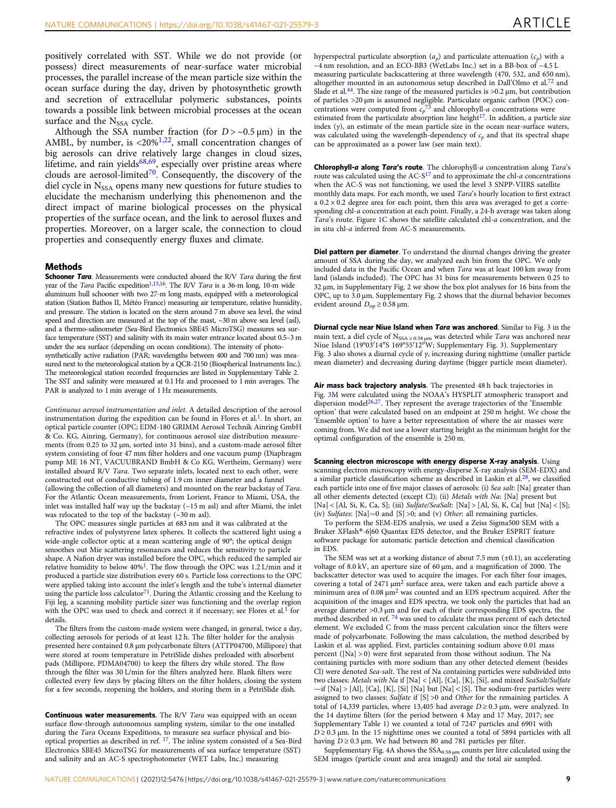positively correlated with SST. While we do not provide (or possess) direct measurements of near-surface water microbial processes, the parallel increase of the mean particle size within the ocean surface during the day, driven by photosynthetic growth and secretion of extracellular polymeric substances, points towards a possible link between microbial processes at the ocean surface and the  $N_{SSA}$  cycle.

Although the SSA number fraction (for  $D > -0.5 \mu m$ ) in the AMBL, by number, is  $\langle 20\%^{1,22} \rangle$ , small concentration changes of big aerosols can drive relatively large changes in cloud sizes, lifetime, and rain yields $68,69$ , especially over pristine areas where clouds are aerosol-limited<sup>70</sup>. Consequently, the discovery of the diel cycle in  $N<sub>SSA</sub>$  opens many new questions for future studies to elucidate the mechanism underlying this phenomenon and the direct impact of marine biological processes on the physical properties of the surface ocean, and the link to aerosol fluxes and properties. Moreover, on a larger scale, the connection to cloud properties and consequently energy fluxes and climate.

#### Methods

Schooner Tara. Measurements were conducted aboard the R/V Tara during the first year of the Tara Pacific expedition<sup>1,15,16</sup>. The R/V Tara is a 36-m long, 10-m wide aluminum hull schooner with two 27-m long masts, equipped with a meteorological station (Station Bathos II, Météo France) measuring air temperature, relative humidity, and pressure. The station is located on the stern around 7 m above sea level, the wind speed and direction are measured at the top of the mast, ~30 m above sea level (asl), and a thermo-salinometer (Sea-Bird Electronics SBE45 MicroTSG) measures sea surface temperature (SST) and salinity with its main water entrance located about 0.5–3 m under the sea surface (depending on ocean conditions). The intensity of photosynthetically active radiation (PAR; wavelengths between 400 and 700 nm) was measured next to the meteorological station by a QCR-2150 (Biospherical Instruments Inc.). The meteorological station recorded frequencies are listed in Supplementary Table 2. The SST and salinity were measured at 0.1 Hz and processed to 1 min averages. The PAR is analyzed to 1 min average of 1 Hz measurements.

Continuous aerosol instrumentation and inlet. A detailed description of the aerosol instrumentation during the expedition can be found in Flores et al.<sup>1</sup>. In short, an optical particle counter (OPC; EDM-180 GRIMM Aerosol Technik Ainring GmbH & Co. KG, Ainring, Germany), for continuous aerosol size distribution measurements (from 0.25 to 32 µm, sorted into 31 bins), and a custom-made aerosol filter system consisting of four 47 mm filter holders and one vacuum pump (Diaphragm pump ME 16 NT, VACUUBRAND BmbH & Co KG, Wertheim, Germany) were installed aboard R/V Tara. Two separate inlets, located next to each other, were constructed out of conductive tubing of 1.9 cm inner diameter and a funnel (allowing the collection of all diameters) and mounted on the rear backstay of Tara. For the Atlantic Ocean measurements, from Lorient, France to Miami, USA, the inlet was installed half way up the backstay  $(-15 \text{ m as}l)$  and after Miami, the inlet was relocated to the top of the backstay  $(\sim 30 \text{ m as}$ ).

The OPC measures single particles at 683 nm and it was calibrated at the refractive index of polystyrene latex spheres. It collects the scattered light using a wide-angle collector optic at a mean scattering angle of 90°; the optical design smoothes out Mie scattering resonances and reduces the sensitivity to particle shape. A Nafion dryer was installed before the OPC, which reduced the sampled air relative humidity to below  $40\%$ <sup>1</sup>. The flow through the OPC was 1.2 L/min and it produced a particle size distribution every 60 s. Particle loss corrections to the OPC were applied taking into account the inlet's length and the tube's internal diameter using the particle loss calculator $^{71}$ . During the Atlantic crossing and the Keelung to Fiji leg, a scanning mobility particle sizer was functioning and the overlap region with the OPC was used to check and correct it if necessary; see Flores et al.<sup>[1](#page-9-0)</sup> for details.

The filters from the custom-made system were changed, in general, twice a day, collecting aerosols for periods of at least 12 h. The filter holder for the analysis presented here contained 0.8 µm polycarbonate filters (ATTP04700, Millipore) that were stored at room temperature in PetriSlide dishes preloaded with absorbent pads (Millipore, PDMA04700) to keep the filters dry while stored. The flow through the filter was 30 L/min for the filters analyzed here. Blank filters were collected every few days by placing filters on the filter holders, closing the system for a few seconds, reopening the holders, and storing them in a PetriSlide dish.

Continuous water measurements. The R/V Tara was equipped with an ocean surface flow-through autonomous sampling system, similar to the one installed during the Tara Oceans Expeditions, to measure sea surface physical and biooptical properties as described in ref. [17.](#page-10-0) The inline system consisted of a Sea-Bird Electronics SBE45 MicroTSG for measurements of sea surface temperature (SST) and salinity and an AC-S spectrophotometer (WET Labs, Inc.) measuring

hyperspectral particulate absorption  $(a_p)$  and particulate attenuation  $(c_p)$  with a  $\sim$ 4 nm resolution, and an ECO-BB3 (WetLabs Inc.) set in a BB-box of  $\sim$ 4.5 L measuring particulate backscattering at three wavelength (470, 532, and 650 nm), altogether mounted in an autonomous setup described in Dall'Olmo et al.[72](#page-11-0) and Slade et al.<sup>[44](#page-10-0)</sup>. The size range of the measured particles is  $> 0.2 \mu m$ , but contribution of particles >20 µm is assumed negligible. Particulate organic carbon (POC) concentrations were computed from  $c_p$ <sup>[73](#page-11-0)</sup> and chlorophyll-*a* concentrations were estimated from the particulate absorption line height $17$ . In addition, a particle size index  $(y)$ , an estimate of the mean particle size in the ocean near-surface waters, was calculated using the wavelength-dependency of  $c_p$  and that its spectral shape can be approximated as a power law (see main text).

Chlorophyll-a along Tara's route. The chlorophyll-a concentration along Tara's route was calculated using the  $AC-<sup>17</sup>$  $AC-<sup>17</sup>$  $AC-<sup>17</sup>$  and to approximate the chl-a concentrations when the AC-S was not functioning, we used the level 3 SNPP-VIIRS satellite monthly data maps. For each month, we used Tara's hourly location to first extract a  $0.2 \times 0.2$  degree area for each point, then this area was averaged to get a corresponding chl-a concentration at each point. Finally, a 24-h average was taken along Tara's route. Figure [1](#page-2-0)C shows the satellite calculated chl-a concentration, and the in situ chl-a inferred from AC-S measurements.

Diel pattern per diameter. To understand the diurnal changes driving the greater amount of SSA during the day, we analyzed each bin from the OPC. We only included data in the Pacific Ocean and when Tara was at least 100 km away from land (islands included). The OPC has 31 bins for measurements between 0.25 to 32 µm, in Supplementary Fig. 2 we show the box plot analyses for 16 bins from the OPC, up to 3.0  $\mu$ m. Supplementary Fig. 2 shows that the diurnal behavior becomes evident around  $D_{op} \ge 0.58$  µm.

Diurnal cycle near Niue Island when Tara was anchored. Similar to Fig. [3](#page-4-0) in the main text, a diel cycle of N<sub>SSA ≥ 0.58 um</sub> was detected while Tara was anchored near Niue Island (19°03′14″S 169°55′12″W; Supplementary Fig. 3). Supplementary Fig. 3 also shows a diurnal cycle of  $\gamma$ , increasing during nighttime (smaller particle mean diameter) and decreasing during daytime (bigger particle mean diameter).

Air mass back trajectory analysis. The presented 48 h back trajectories in Fig. [3M](#page-4-0) were calculated using the NOAA's HYSPLIT atmospheric transport and dispersion model<sup>[26](#page-10-0),[27](#page-10-0)</sup>. They represent the average trajectories of the 'Ensemble option' that were calculated based on an endpoint at 250 m height. We chose the 'Ensemble option' to have a better representation of where the air masses were coming from. We did not use a lower starting height as the minimum height for the optimal configuration of the ensemble is 250 m.

Scanning electron microscope with energy disperse X-ray analysis. Using scanning electron microscopy with energy-disperse X-ray analysis (SEM-EDX) and a similar particle classification scheme as described in Laskin et al. $28$ , we classified each particle into one of five major classes of aerosols: (i) Sea salt: [Na] greater than all other elements detected (except Cl); (ii) Metals with Na: [Na] present but [Na] < [Al, Si, K, Ca, S]; (iii) Sulfate/SeaSalt: [Na] > [Al, Si, K, Ca] but [Na] < [S]; (iv) Sulfates:  $[Na]=0$  and  $[S] > 0$ ; and (v) Other: all remaining particles.

To perform the SEM-EDS analysis, we used a Zeiss Sigma500 SEM with a Bruker XFlash®-6|60 Quantax EDS detector, and the Bruker ESPRIT feature software package for automatic particle detection and chemical classification in EDS.

The SEM was set at a working distance of about 7.5 mm  $(\pm 0.1)$ , an accelerating voltage of 8.0 kV, an aperture size of 60 μm, and a magnification of 2000. The backscatter detector was used to acquire the images. For each filter four images, covering a total of 2471 μm2 surface area, were taken and each particle above a minimum area of 0.08 μm<sup>2</sup> was counted and an EDS spectrum acquired. After the acquisition of the images and EDS spectra, we took only the particles that had an average diameter >0.3 μm and for each of their corresponding EDS spectra, the method described in ref. [74](#page-11-0) was used to calculate the mass percent of each detected element. We excluded C from the mass percent calculation since the filters were made of polycarbonate. Following the mass calculation, the method described by Laskin et al. was applied. First, particles containing sodium above 0.01 mass percent ([Na] > 0) were first separated from those without sodium. The Na containing particles with more sodium than any other detected element (besides Cl) were denoted Sea-salt. The rest of Na containing particles were subdivided into two classes: Metals with Na if [Na] < [Al], [Ca], [K], [Si], and mixed SeaSalt/Sulfate —if [Na] > [Al], [Ca], [K], [Si] [Na] but [Na] < [S]. The sodium-free particles were assigned to two classes: Sulfate if [S] >0 and Other for the remaining particles. A total of 14,339 particles, where 13,405 had average  $D \ge 0.3$  µm, were analyzed. In the 14 daytime filters (for the period between 4 May and 17 May, 2017; see Supplementary Table 1) we counted a total of 7247 particles and 6901 with  $D \ge 0.3$  μm. In the 15 nighttime ones we counted a total of 5894 particles with all having  $D \ge 0.3$  µm. We had between 80 and 781 particles per filter.

Supplementary Fig. 4A shows the  $SSA_{0.58 \mu m}$  counts per litre calculated using the SEM images (particle count and area imaged) and the total air sampled.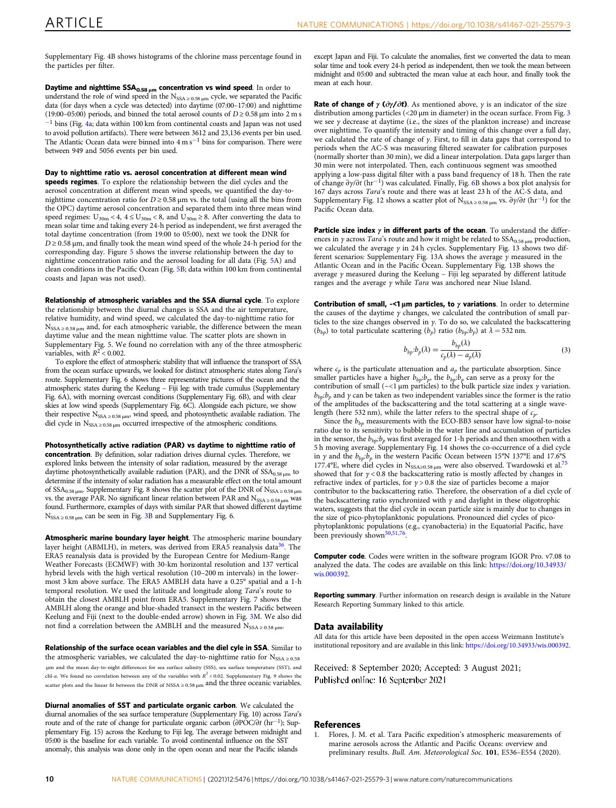<span id="page-9-0"></span>Supplementary Fig. 4B shows histograms of the chlorine mass percentage found in the particles per filter.

Daytime and nighttime  $SSA_{0.58 \mu m}$  concentration vs wind speed. In order to understand the role of wind speed in the  $N_{SSA \ge 0.58 \mu m}$  cycle, we separated the Pacific data (for days when a cycle was detected) into daytime (07:00–17:00) and nighttime (19:00–05:00) periods, and binned the total aerosol counts of  $D \ge 0.58 \,\mu m$  into 2 m s  $-1$  bins (Fig. [4a](#page-5-0); data within 100 km from continental coasts and Japan was not used to avoid pollution artifacts). There were between 3612 and 23,136 events per bin used. The Atlantic Ocean data were binned into 4 m s−<sup>1</sup> bins for comparison. There were between 949 and 5056 events per bin used.

Day to nighttime ratio vs. aerosol concentration at different mean wind speeds regimes. To explore the relationship between the diel cycles and the aerosol concentration at different mean wind speeds, we quantified the day-tonighttime concentration ratio for  $D \ge 0.58$  µm vs. the total (using all the bins from the OPC) daytime aerosol concentration and separated them into three mean wind speed regimes:  $U_{30m}$  < 4, 4  $\leq U_{30m}$  < 8, and  $U_{30m}$  ≥ 8. After converting the data to mean solar time and taking every 24-h period as independent, we first averaged the total daytime concentration (from 19:00 to 05:00), next we took the DNR for  $D$   $\geq$  0.58 μm, and finally took the mean wind speed of the whole 24-h period for the corresponding day. Figure [5](#page-6-0) shows the inverse relationship between the day to nighttime concentration ratio and the aerosol loading for all data (Fig. [5A](#page-6-0)) and clean conditions in the Pacific Ocean (Fig. [5](#page-6-0)B; data within 100 km from continental coasts and Japan was not used).

Relationship of atmospheric variables and the SSA diurnal cycle. To explore the relationship between the diurnal changes is SSA and the air temperature, relative humidity, and wind speed, we calculated the day-to-nighttime ratio for  $N_{SSA \geq 0.58 \mu m}$  and, for each atmospheric variable, the difference between the mean daytime value and the mean nighttime value. The scatter plots are shown in Supplementary Fig. 5. We found no correlation with any of the three atmospheric variables, with  $R^2$  < 0.002.

To explore the effect of atmospheric stability that will influence the transport of SSA from the ocean surface upwards, we looked for distinct atmospheric states along Tara's route. Supplementary Fig. 6 shows three representative pictures of the ocean and the atmospheric states during the Keelung – Fiji leg: with trade cumulus (Supplementary Fig. 6A), with morning overcast conditions (Supplementary Fig. 6B), and with clear skies at low wind speeds (Supplementary Fig. 6C). Alongside each picture, we show their respective  $N_{SSA \geq 0.58 \mu m}$ , wind speed, and photosynthetic available radiation. The diel cycle in  $N_{SSA \geq 0.58 \mu m}$  occurred irrespective of the atmospheric conditions.

Photosynthetically active radiation (PAR) vs daytime to nighttime ratio of concentration. By definition, solar radiation drives diurnal cycles. Therefore, we explored links between the intensity of solar radiation, measured by the average daytime photosynthetically available radiation (PAR), and the DNR of  $SSA_{0.58 \mu m}$  to determine if the intensity of solar radiation has a measurable effect on the total amount of  $SSA_{0.58 \mu m}$ . Supplementary Fig. 8 shows the scatter plot of the DNR of  $N_{SSA \ge 0.58 \mu m}$ vs. the average PAR. No significant linear relation between PAR and  $N_{SSA \ge 0.58 \mu m}$  was found. Furthermore, examples of days with similar PAR that showed different daytime  $N_{SSA \geq 0.58 \mu m}$  can be seen in Fig. [3](#page-4-0)B and Supplementary Fig. 6.

Atmospheric marine boundary layer height. The atmospheric marine boundary layer height (ABMLH), in meters, was derived from ERA5 reanalysis data $36$ . The ERA5 reanalysis data is provided by the European Centre for Medium‐Range Weather Forecasts (ECMWF) with 30‐km horizontal resolution and 137 vertical hybrid levels with the high vertical resolution (10–200 m intervals) in the lowermost 3 km above surface. The ERA5 AMBLH data have a 0.25° spatial and a 1-h temporal resolution. We used the latitude and longitude along Tara's route to obtain the closest AMBLH point from ERA5. Supplementary Fig. 7 shows the AMBLH along the orange and blue-shaded transect in the western Pacific between Keelung and Fiji (next to the double-ended arrow) shown in Fig. [3](#page-4-0)M. We also did not find a correlation between the AMBLH and the measured  $N_{SSA \geq 0.58 \mu m}$ .

Relationship of the surface ocean variables and the diel cyle in SSA. Similar to the atmospheric variables, we calculated the day-to-nighttime ratio for  $N_{SSA \geq 0.58}$ μm and the mean day-to-night differences for sea surface salinity (SSS), sea surface temperature (SST), and chl-a. We found no correlation between any of the variables with  $R^2 < 0.02$ . Supplementary Fig. 9 shows the scatter plots and the linear fit between the DNR of NSSA ≥ 0.58 μm and the three oceanic variables.

Diurnal anomalies of SST and particulate organic carbon. We calculated the diurnal anomalies of the sea surface temperature (Supplementary Fig. 10) across Tara's route and of the rate of change for particulate organic carbon (∂POC/∂t (hr<sup>−</sup>1); Supplementary Fig. 15) across the Keelung to Fiji leg. The average between midnight and 05:00 is the baseline for each variable. To avoid continental influence on the SST anomaly, this analysis was done only in the open ocean and near the Pacific islands

except Japan and Fiji. To calculate the anomalies, first we converted the data to mean solar time and took every 24-h period as independent, then we took the mean between midnight and 05:00 and subtracted the mean value at each hour, and finally took the mean at each hour.

**Rate of change of γ (** $\partial y / \partial t$ **)**. As mentioned above,  $\gamma$  is an indicator of the size distribution among particles (<20 µm in diameter) in the ocean surface. From Fig. [3](#page-4-0) we see  $\gamma$  decrease at daytime (i.e., the sizes of the plankton increase) and increase over nighttime. To quantify the intensity and timing of this change over a full day, we calculated the rate of change of  $\gamma$ . First, to fill in data gaps that correspond to periods when the AC-S was measuring filtered seawater for calibration purposes (normally shorter than 30 min), we did a linear interpolation. Data gaps larger than 30 min were not interpolated. Then, each continuous segment was smoothed applying a low-pass digital filter with a pass band frequency of 18 h. Then the rate of change  $\partial y/\partial t$  (hr<sup>-1</sup>) was calculated. Finally, Fig. [6B](#page-6-0) shows a box plot analysis for 167 days across Tara's route and there was at least 23 h of the AC-S data, and Supplementary Fig. 12 shows a scatter plot of N<sub>SSA ≥ 0.58 µm</sub> vs.  $\partial \gamma / \partial t$  (hr<sup>-1</sup>) for the Pacific Ocean data.

Particle size index  $\gamma$  in different parts of the ocean. To understand the differences in *γ* across *Tara's* route and how it might be related to  $SSA<sub>0.58 µm</sub>$  production, we calculated the average  $\gamma$  in 24 h cycles. Supplementary Fig. 13 shows two different scenarios: Supplementary Fig. 13A shows the average  $\gamma$  measured in the Atlantic Ocean and in the Pacific Ocean. Supplementary Fig. 13B shows the average γ measured during the Keelung – Fiji leg separated by different latitude ranges and the average γ while Tara was anchored near Niue Island.

Contribution of small,  $\prec$ 1 µm particles, to  $\gamma$  variations. In order to determine the causes of the daytime  $\gamma$  changes, we calculated the contribution of small particles to the size changes observed in  $\gamma$ . To do so, we calculated the backscattering  $(b_{bp})$  to total particulate scattering  $(b_p)$  ratio  $(b_{bp}:b_p)$  at  $\lambda = 532$  nm.

$$
b_{bp}:b_p(\lambda) = \frac{b_{bp}(\lambda)}{c_p(\lambda) - a_p(\lambda)}\tag{3}
$$

where  $c_p$  is the particulate attenuation and  $a_p$  the particulate absorption. Since smaller particles have a higher  $b_{bp}$ ; the  $b_{bp}$ ; che serve as a proxy for the contribution of small (~<1  $\mu$ m particles) to the bulk particle size index  $\gamma$  variation.  $b_{bp}$ : $b_p$  and  $\gamma$  can be taken as two independent variables since the former is the ratio of the amplitudes of the backscattering and the total scattering at a single wavelength (here 532 nm), while the latter refers to the spectral shape of  $c_p$ .

Since the  $b_{bp}$  measurements with the ECO-BB3 sensor have low signal-to-noise ratio due to its sensitivity to bubble in the water line and accumulation of particles in the sensor, the  $b_{bp}$   $b_p$  was first averaged for 1-h periods and then smoothen with a 5 h moving average. Supplementary Fig. 14 shows the co-occurrence of a diel cycle in  $\gamma$  and the  $b_{bp}$ : $b_p$  in the western Pacific Ocean between 15°N 137°E and 17.6°S 177.4°E, where diel cycles in N<sub>SSA≥0.58 µm</sub> were also observed. Twardowski et al.<sup>75</sup> showed that for  $\gamma$  < 0.8 the backscattering ratio is mostly affected by changes in refractive index of particles, for  $y > 0.8$  the size of particles become a major contributor to the backscattering ratio. Therefore, the observation of a diel cycle of the backscattering ratio synchronized with  $\gamma$  and daylight in these oligotrophic waters, suggests that the diel cycle in ocean particle size is mainly due to changes in the size of pico-phytoplanktonic populations. Pronounced diel cycles of picophytoplanktonic populations (e.g., cyanobacteria) in the Equatorial Pacific, have been previously shown<sup>50,51,76</sup>.

**Computer code**. Codes were written in the software program IGOR Pro. v7.08 to analyzed the data. The codes are available on this link: [https://doi.org/10.34933/](https://doi.org/10.34933/wis.000392) [wis.000392](https://doi.org/10.34933/wis.000392).

Reporting summary. Further information on research design is available in the Nature Research Reporting Summary linked to this article.

#### Data availability

All data for this article have been deposited in the open access Weizmann Institute's institutional repository and are available in this link: <https://doi.org/10.34933/wis.000392>.

Received: 8 September 2020; Accepted: 3 August 2021; Published online: 16 September 2021

#### References

1. Flores, J. M. et al. Tara Pacific expedition's atmospheric measurements of marine aerosols across the Atlantic and Pacific Oceans: overview and preliminary results. Bull. Am. Meteorological Soc. 101, E536–E554 (2020).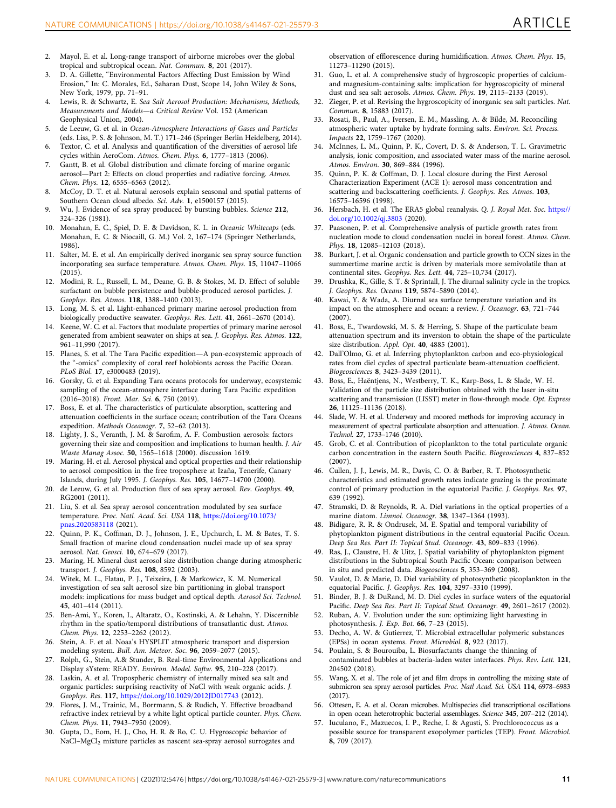- <span id="page-10-0"></span>2. Mayol, E. et al. Long-range transport of airborne microbes over the global tropical and subtropical ocean. Nat. Commun. 8, 201 (2017).
- 3. D. A. Gillette, "Environmental Factors Affecting Dust Emission by Wind Erosion," In: C. Morales, Ed., Saharan Dust, Scope 14, John Wiley & Sons, New York, 1979, pp. 71–91.
- 4. Lewis, R. & Schwartz, E. Sea Salt Aerosol Production: Mechanisms, Methods, Measurements and Models—a Critical Review Vol. 152 (American Geophysical Union, 2004).
- 5. de Leeuw, G. et al. in Ocean-Atmosphere Interactions of Gases and Particles (eds. Liss, P. S. & Johnson, M. T.) 171–246 (Springer Berlin Heidelberg, 2014).
- 6. Textor, C. et al. Analysis and quantification of the diversities of aerosol life cycles within AeroCom. Atmos. Chem. Phys. 6, 1777–1813 (2006). 7. Gantt, B. et al. Global distribution and climate forcing of marine organic
- aerosol—Part 2: Effects on cloud properties and radiative forcing. Atmos. Chem. Phys. 12, 6555–6563 (2012).
- 8. McCoy, D. T. et al. Natural aerosols explain seasonal and spatial patterns of Southern Ocean cloud albedo. Sci. Adv. 1, e1500157 (2015).
- Wu, J. Evidence of sea spray produced by bursting bubbles. Science 212, 324–326 (1981).
- 10. Monahan, E. C., Spiel, D. E. & Davidson, K. L. in Oceanic Whitecaps (eds. Monahan, E. C. & Niocaill, G. M.) Vol. 2, 167–174 (Springer Netherlands, 1986).
- 11. Salter, M. E. et al. An empirically derived inorganic sea spray source function incorporating sea surface temperature. Atmos. Chem. Phys. 15, 11047–11066  $(2015)$
- 12. Modini, R. L., Russell, L. M., Deane, G. B. & Stokes, M. D. Effect of soluble surfactant on bubble persistence and bubble-produced aerosol particles. J. Geophys. Res. Atmos. 118, 1388–1400 (2013).
- 13. Long, M. S. et al. Light-enhanced primary marine aerosol production from biologically productive seawater. Geophys. Res. Lett. 41, 2661–2670 (2014).
- 14. Keene, W. C. et al. Factors that modulate properties of primary marine aerosol generated from ambient seawater on ships at sea. J. Geophys. Res. Atmos. 122, 961–11,990 (2017).
- 15. Planes, S. et al. The Tara Pacific expedition—A pan-ecosystemic approach of the "-omics" complexity of coral reef holobionts across the Pacific Ocean. PLoS Biol. 17, e3000483 (2019).
- 16. Gorsky, G. et al. Expanding Tara oceans protocols for underway, ecosystemic sampling of the ocean-atmosphere interface during Tara Pacific expedition (2016–2018). Front. Mar. Sci. 6, 750 (2019).
- 17. Boss, E. et al. The characteristics of particulate absorption, scattering and attenuation coefficients in the surface ocean; contribution of the Tara Oceans expedition. Methods Oceanogr. 7, 52–62 (2013).
- 18. Lighty, J. S., Veranth, J. M. & Sarofim, A. F. Combustion aerosols: factors governing their size and composition and implications to human health. J. Air Waste Manag Assoc. 50, 1565–1618 (2000). discussion 1619.
- 19. Maring, H. et al. Aerosol physical and optical properties and their relationship to aerosol composition in the free troposphere at Izaña, Tenerife, Canary Islands, during July 1995. J. Geophys. Res. 105, 14677–14700 (2000).
- 20. de Leeuw, G. et al. Production flux of sea spray aerosol. Rev. Geophys. 49, RG2001 (2011).
- 21. Liu, S. et al. Sea spray aerosol concentration modulated by sea surface temperature. Proc. Natl. Acad. Sci. USA 118, [https://doi.org/10.1073/](https://doi.org/10.1073/pnas.2020583118) [pnas.2020583118](https://doi.org/10.1073/pnas.2020583118) (2021).
- 22. Quinn, P. K., Coffman, D. J., Johnson, J. E., Upchurch, L. M. & Bates, T. S. Small fraction of marine cloud condensation nuclei made up of sea spray aerosol. Nat. Geosci. 10, 674–679 (2017).
- 23. Maring, H. Mineral dust aerosol size distribution change during atmospheric transport. J. Geophys. Res. 108, 8592 (2003).
- 24. Witek, M. L., Flatau, P. J., Teixeira, J. & Markowicz, K. M. Numerical investigation of sea salt aerosol size bin partitioning in global transport models: implications for mass budget and optical depth. Aerosol Sci. Technol. 45, 401–414 (2011).
- 25. Ben-Ami, Y., Koren, I., Altaratz, O., Kostinski, A. & Lehahn, Y. Discernible rhythm in the spatio/temporal distributions of transatlantic dust. Atmos. Chem. Phys. 12, 2253–2262 (2012).
- 26. Stein, A. F. et al. Noaa's HYSPLIT atmospheric transport and dispersion modeling system. Bull. Am. Meteor. Soc. 96, 2059–2077 (2015).
- 27. Rolph, G., Stein, A.& Stunder, B. Real-time Environmental Applications and Display sYstem: READY. Environ. Model. Softw. 95, 210–228 (2017).
- 28. Laskin, A. et al. Tropospheric chemistry of internally mixed sea salt and organic particles: surprising reactivity of NaCl with weak organic acids. J. Geophys. Res. 117, <https://doi.org/10.1029/2012JD017743> (2012).
- 29. Flores, J. M., Trainic, M., Borrmann, S. & Rudich, Y. Effective broadband refractive index retrieval by a white light optical particle counter. Phys. Chem. Chem. Phys. 11, 7943–7950 (2009).
- 30. Gupta, D., Eom, H. J., Cho, H. R. & Ro, C. U. Hygroscopic behavior of  $\rm NaCl\text{-}MgCl_{2}$  mixture particles as nascent sea-spray aerosol surrogates and

observation of efflorescence during humidification. Atmos. Chem. Phys. 15, 11273–11290 (2015).

- 31. Guo, L. et al. A comprehensive study of hygroscopic properties of calciumand magnesium-containing salts: implication for hygroscopicity of mineral dust and sea salt aerosols. Atmos. Chem. Phys. 19, 2115–2133 (2019).
- 32. Zieger, P. et al. Revising the hygroscopicity of inorganic sea salt particles. Nat. Commun. 8, 15883 (2017).
- 33. Rosati, B., Paul, A., Iversen, E. M., Massling, A. & Bilde, M. Reconciling atmospheric water uptake by hydrate forming salts. Environ. Sci. Process. Impacts 22, 1759–1767 (2020).
- 34. McInnes, L. M., Quinn, P. K., Covert, D. S. & Anderson, T. L. Gravimetric analysis, ionic composition, and associated water mass of the marine aerosol. Atmos. Environ. 30, 869–884 (1996).
- 35. Quinn, P. K. & Coffman, D. J. Local closure during the First Aerosol Characterization Experiment (ACE 1): aerosol mass concentration and scattering and backscattering coefficients. J. Geophys. Res. Atmos. 103, 16575–16596 (1998).
- 36. Hersbach, H. et al. The ERA5 global reanalysis. Q. J. Royal Met. Soc. [https://](https://doi.org/10.1002/qj.3803) [doi.org/10.1002/qj.3803](https://doi.org/10.1002/qj.3803) (2020).
- 37. Paasonen, P. et al. Comprehensive analysis of particle growth rates from nucleation mode to cloud condensation nuclei in boreal forest. Atmos. Chem. Phys. 18, 12085–12103 (2018).
- 38. Burkart, J. et al. Organic condensation and particle growth to CCN sizes in the summertime marine arctic is driven by materials more semivolatile than at continental sites. Geophys. Res. Lett. 44, 725–10,734 (2017).
- 39. Drushka, K., Gille, S. T. & Sprintall, J. The diurnal salinity cycle in the tropics. J. Geophys. Res. Oceans 119, 5874–5890 (2014).
- 40. Kawai, Y. & Wada, A. Diurnal sea surface temperature variation and its impact on the atmosphere and ocean: a review. J. Oceanogr. 63, 721–744  $(2007)$
- 41. Boss, E., Twardowski, M. S. & Herring, S. Shape of the particulate beam attenuation spectrum and its inversion to obtain the shape of the particulate size distribution. Appl. Opt. 40, 4885 (2001).
- 42. Dall'Olmo, G. et al. Inferring phytoplankton carbon and eco-physiological rates from diel cycles of spectral particulate beam-attenuation coefficient. Biogeosciences 8, 3423–3439 (2011).
- 43. Boss, E., Haëntjens, N., Westberry, T. K., Karp-Boss, L. & Slade, W. H. Validation of the particle size distribution obtained with the laser in-situ scattering and transmission (LISST) meter in flow-through mode. Opt. Express 26, 11125–11136 (2018).
- 44. Slade, W. H. et al. Underway and moored methods for improving accuracy in measurement of spectral particulate absorption and attenuation. J. Atmos. Ocean. Technol. 27, 1733–1746 (2010).
- 45. Grob, C. et al. Contribution of picoplankton to the total particulate organic carbon concentration in the eastern South Pacific. Biogeosciences 4, 837–852 (2007).
- 46. Cullen, J. J., Lewis, M. R., Davis, C. O. & Barber, R. T. Photosynthetic characteristics and estimated growth rates indicate grazing is the proximate control of primary production in the equatorial Pacific. J. Geophys. Res. 97, 639 (1992).
- 47. Stramski, D. & Reynolds, R. A. Diel variations in the optical properties of a marine diatom. Limnol. Oceanogr. 38, 1347–1364 (1993).
- Bidigare, R. R. & Ondrusek, M. E. Spatial and temporal variability of phytoplankton pigment distributions in the central equatorial Pacific Ocean. Deep Sea Res. Part II: Topical Stud. Oceanogr. 43, 809–833 (1996).
- 49. Ras, J., Claustre, H. & Uitz, J. Spatial variability of phytoplankton pigment distributions in the Subtropical South Pacific Ocean: comparison between in situ and predicted data. Biogeosciences 5, 353–369 (2008).
- Vaulot, D. & Marie, D. Diel variability of photosynthetic picoplankton in the equatorial Pacific. J. Geophys. Res. 104, 3297–3310 (1999).
- 51. Binder, B. J. & DuRand, M. D. Diel cycles in surface waters of the equatorial Pacific. Deep Sea Res. Part II: Topical Stud. Oceanogr. 49, 2601–2617 (2002).
- 52. Ruban, A. V. Evolution under the sun: optimizing light harvesting in photosynthesis. *J. Exp. Bot.* **66**, 7-23 (2015).
- 53. Decho, A. W. & Gutierrez, T. Microbial extracellular polymeric substances (EPSs) in ocean systems. Front. Microbiol. 8, 922 (2017).
- 54. Poulain, S. & Bourouiba, L. Biosurfactants change the thinning of contaminated bubbles at bacteria-laden water interfaces. Phys. Rev. Lett. 121, 204502 (2018).
- 55. Wang, X. et al. The role of jet and film drops in controlling the mixing state of submicron sea spray aerosol particles. Proc. Natl Acad. Sci. USA 114, 6978–6983 (2017).
- 56. Ottesen, E. A. et al. Ocean microbes. Multispecies diel transcriptional oscillations in open ocean heterotrophic bacterial assemblages. Science 345, 207–212 (2014).
- 57. Iuculano, F., Mazuecos, I. P., Reche, I. & Agustí, S. Prochlorococcus as a possible source for transparent exopolymer particles (TEP). Front. Microbiol. 8, 709 (2017).